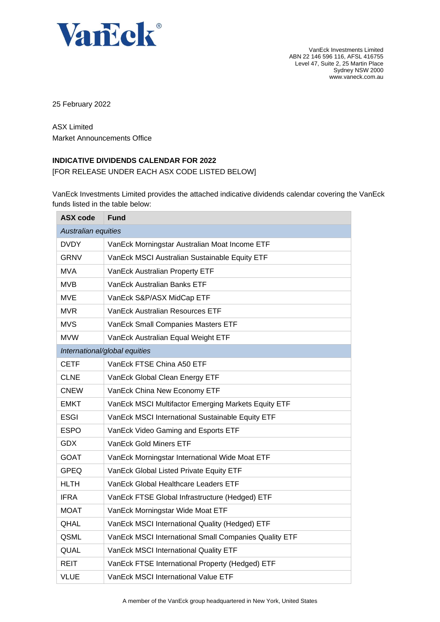

VanEck Investments Limited ABN 22 146 596 116, AFSL 416755 Level 47, Suite 2, 25 Martin Place Sydney NSW 2000 www.vaneck.com.au

25 February 2022

ASX Limited Market Announcements Office

## **INDICATIVE DIVIDENDS CALENDAR FOR 2022**

[FOR RELEASE UNDER EACH ASX CODE LISTED BELOW]

VanEck Investments Limited provides the attached indicative dividends calendar covering the VanEck funds listed in the table below:

| <b>ASX code</b>     | <b>Fund</b>                                           |
|---------------------|-------------------------------------------------------|
| Australian equities |                                                       |
| <b>DVDY</b>         | VanEck Morningstar Australian Moat Income ETF         |
| GRNV                | VanEck MSCI Australian Sustainable Equity ETF         |
| <b>MVA</b>          | VanEck Australian Property ETF                        |
| MVB                 | VanEck Australian Banks ETF                           |
| MVE                 | VanEck S&P/ASX MidCap ETF                             |
| <b>MVR</b>          | VanEck Australian Resources ETF                       |
| <b>MVS</b>          | VanEck Small Companies Masters ETF                    |
| <b>MVW</b>          | VanEck Australian Equal Weight ETF                    |
|                     | International/global equities                         |
| CETF                | VanEck FTSE China A50 ETF                             |
| <b>CLNE</b>         | VanEck Global Clean Energy ETF                        |
| <b>CNEW</b>         | VanEck China New Economy ETF                          |
| EMKT                | VanEck MSCI Multifactor Emerging Markets Equity ETF   |
| <b>ESGI</b>         | VanEck MSCI International Sustainable Equity ETF      |
| <b>ESPO</b>         | VanEck Video Gaming and Esports ETF                   |
| <b>GDX</b>          | <b>VanEck Gold Miners ETF</b>                         |
| <b>GOAT</b>         | VanEck Morningstar International Wide Moat ETF        |
| <b>GPEQ</b>         | VanEck Global Listed Private Equity ETF               |
| <b>HLTH</b>         | VanEck Global Healthcare Leaders ETF                  |
| <b>IFRA</b>         | VanEck FTSE Global Infrastructure (Hedged) ETF        |
| <b>MOAT</b>         | VanEck Morningstar Wide Moat ETF                      |
| QHAL                | VanEck MSCI International Quality (Hedged) ETF        |
| QSML                | VanEck MSCI International Small Companies Quality ETF |
| QUAL                | VanEck MSCI International Quality ETF                 |
| REIT                | VanEck FTSE International Property (Hedged) ETF       |
| <b>VLUE</b>         | VanEck MSCI International Value ETF                   |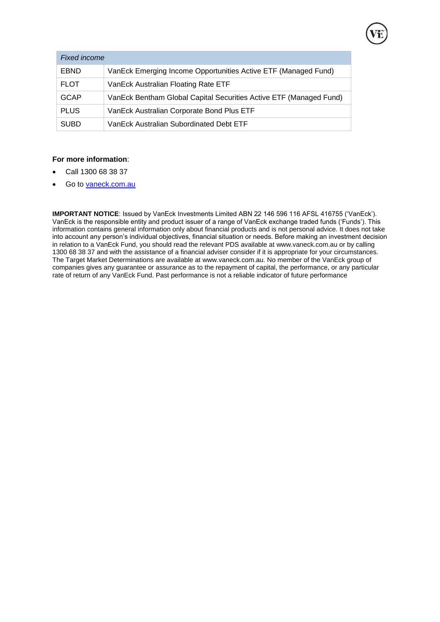| VanEck Bentham Global Capital Securities Active ETF (Managed Fund) |
|--------------------------------------------------------------------|
|                                                                    |
|                                                                    |
|                                                                    |

## **For more information**:

- Call 1300 68 38 37
- Go to [vaneck.com.au](http://www.marketvectors-australia.com/)

**IMPORTANT NOTICE**: Issued by VanEck Investments Limited ABN 22 146 596 116 AFSL 416755 ('VanEck'). VanEck is the responsible entity and product issuer of a range of VanEck exchange traded funds ('Funds'). This information contains general information only about financial products and is not personal advice. It does not take into account any person's individual objectives, financial situation or needs. Before making an investment decision in relation to a VanEck Fund, you should read the relevant PDS available at [www.vaneck.com.au](http://www.vaneck.com.au/) or by calling 1300 68 38 37 and with the assistance of a financial adviser consider if it is appropriate for your circumstances. The Target Market Determinations are available at [www.vaneck.com.au.](http://www.vaneck.com.au/) No member of the VanEck group of companies gives any guarantee or assurance as to the repayment of capital, the performance, or any particular rate of return of any VanEck Fund. Past performance is not a reliable indicator of future performance